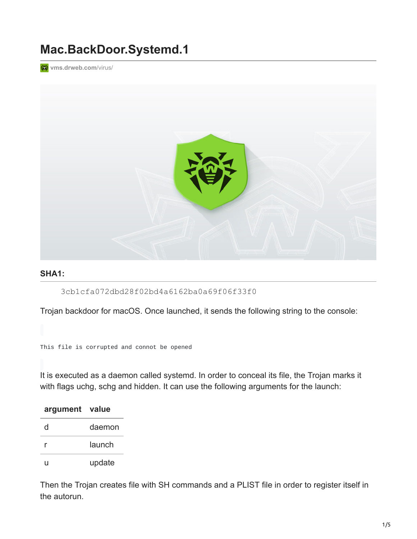## **Mac.BackDoor.Systemd.1**

**[vms.drweb.com](https://vms.drweb.com/virus/?_is=1&i=15299312&lng=en)/virus/** 



## **SHA1:**

3cb1cfa072dbd28f02bd4a6162ba0a69f06f33f0

Trojan backdoor for macOS. Once launched, it sends the following string to the console:

This file is corrupted and connot be opened

It is executed as a daemon called systemd. In order to conceal its file, the Trojan marks it with flags uchg, schg and hidden. It can use the following arguments for the launch:

| argument value |        |
|----------------|--------|
| d              | daemon |
|                | launch |
| H              | update |

Then the Trojan creates file with SH commands and a PLIST file in order to register itself in the autorun.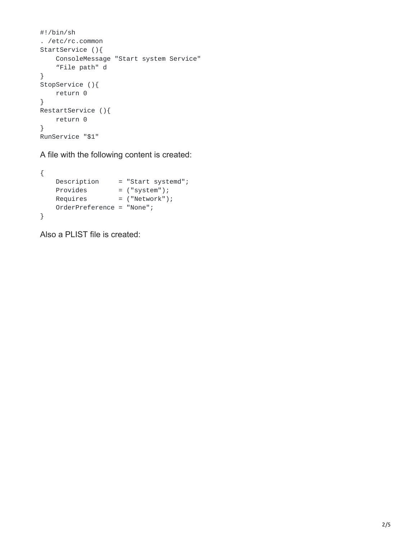```
#!/bin/sh
. /etc/rc.common
StartService (){
   ConsoleMessage "Start system Service"
    "File path" d
}
StopService (){
   return 0
}
RestartService (){
   return 0
}
RunService "$1"
```
A file with the following content is created:

```
{
   Description = "Start systemd";
   Provides = ("system");
   Requires = ("Network");
   OrderPreference = "None";
}
```
Also a PLIST file is created: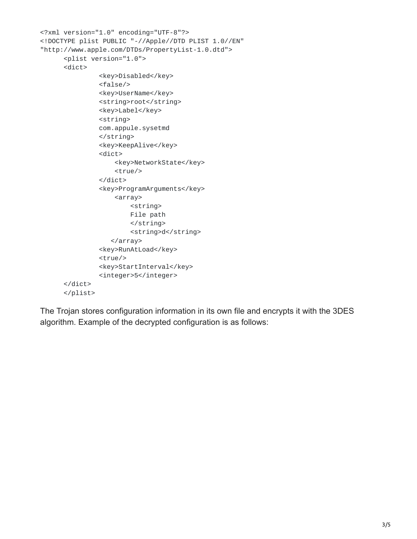```
<?xml version="1.0" encoding="UTF-8"?>
<!DOCTYPE plist PUBLIC "-//Apple//DTD PLIST 1.0//EN"
"http://www.apple.com/DTDs/PropertyList-1.0.dtd">
      <plist version="1.0">
      <dict>
               <key>Disabled</key>
               <false/>
               <key>UserName</key>
               <string>root</string>
               <key>Label</key>
               <string>
               com.appule.sysetmd
               </string>
               <key>KeepAlive</key>
               <dict>
                   <key>NetworkState</key>
                   <true/>
               </dict>
               <key>ProgramArguments</key>
                   <array>
                       <string>
                       File path
                       </string>
                       <string>d</string>
                  </array>
               <key>RunAtLoad</key>
               <true/>
               <key>StartInterval</key>
               <integer>5</integer>
      </dict>
      </plist>
```
The Trojan stores configuration information in its own file and encrypts it with the 3DES algorithm. Example of the decrypted configuration is as follows: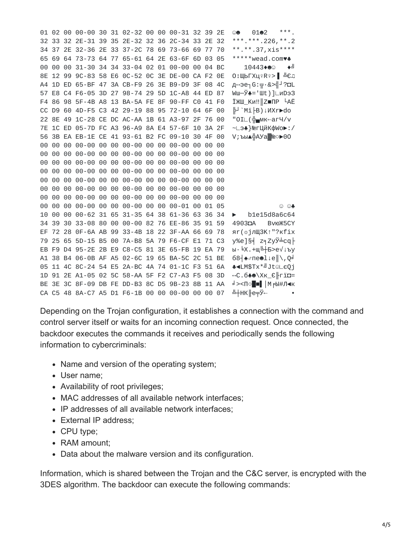01 02 00 00-00 30 31 02-32 00 00 00-31 32 39 2E © 0102 32 33 32 2E-31 39 35 2E-32 32 36 2C-34 33 2E 32 \*\*\*.\*\*\*.226, \*\*.2 34 37 2E 32-36 2E 33 37-2C 78 69 73-66 69 77 70 \*\*.\*\*.37.  $xis***$ \*\*\*\*\*wead.comv+ 65 69 64 73-73 64 77 65-61 64 2E 63-6F 6D 03 05 00 00 00 31-30 34 34 33-04 02 01 00-00 00 04 BC 10443◆●☺  $\blacklozenge$ 8E 12 99 9C-83 58 E6 0C-52 0C 3E DE-00 CA F2 0E O : ШЬГХЦº Rº> → ╩СЛ A4 1D ED 65-BF 47 ЗА СВ-F9 26 ЗЕ В9-D9 ЗF 08 4С д⇔эе¬G:<sub>π</sub>.&>╣-2 ?п 57 E8 C4 F6-05 3D 27 98-74 29 5D 1C-A8 44 ED 87 Wш-Ў♣='Шt)]∟иDэЗ F4 86 98 5F-4B A8 13 BA-5A FE 8F 90-FF C0 41 F0 ЇЖШ Ки‼∥Z■ПР <sup>Ц</sup>АЁ CC D9 60 4D-F5 C3 42 29-19 88 95 72-10 64 6F 00 H `Mï HB)↓MXrrodo 22 8E 49 1C-28 CE DC AC-AA 1B 61 A3-97 2F 76 00 "0IL(H-мк←агЧ/v 7E 1C ED 05-7D FC A3 96-A9 8A E4 57-6F 10 3A 2F ~∟э♣}№гЦйКфWо►:/ 56 3B EA EB-1E CE 41 93-61 B2 FC 09-10 30 4F 00 V;ъы▲╬АУа▒№⊳00 00 00 00 00 00 00 00 00 00 00 00 00 01 05 © ⊙**ஃ** 10 00 00 00-62 31 65 31-35 64 38 61-36 63 36 34 b1e15d8a6c64 34 39 30 33-08 80 00 00-00 82 76 EE-86 35 91 59 4903DA BV<sub>t0</sub><sup>K5CY</sup> ЕF 72 28 OF-6A AB 99 33-4B 18 22 3F-AA 66 69 78 яг( \* jлЩ3К↑"?кfix 79 25 65 5D-15 B5 00 7A-B8 5A 79 F6-CF E1 71 C3 y%e]§= z=zyy=cq| EB F9 D4 95-2E 2B E9 C8-C5 81 3E 65-FB 19 EA 79 ы. EX. +щЩ-Б>е√↓ъу A1 38 B4 06-0B AF A5 02-6C 19 65 BA-5C 2C 51 BE 68 + ↑ ne@lle 05 11 4C 8C-24 54 E5 2A-BC 4A 74 01-1C F3 51 6A **÷**<LM\$Tx<sup>\*』</sup>Jt©LeQj 1D 91 2E A1-05 02 5C 58-AA 5F F2 C7-A3 F5 08 3D ↔ C. 640\XK C Fin ВЕ 3E 3C 8F-09 DB FE DD-B3 8C D5 9B-23 8B 11 AA ∃><По∎∎|МFЫ#Л∢к ╩┼нк╟е╤Ў← CA C5 48 8A-C7 A5 D1 F6-1B 00 00 00-00 00 00 07

Depending on the Trojan configuration, it establishes a connection with the command and control server itself or waits for an incoming connection request. Once connected, the backdoor executes the commands it receives and periodically sends the following information to cybercriminals:

- Name and version of the operating system;
- User name:
- Availability of root privileges;
- MAC addresses of all available network interfaces;
- IP addresses of all available network interfaces;
- External IP address:
- CPU type;
- RAM amount;
- Data about the malware version and its configuration.

Information, which is shared between the Trojan and the C&C server, is encrypted with the 3DES algorithm. The backdoor can execute the following commands: